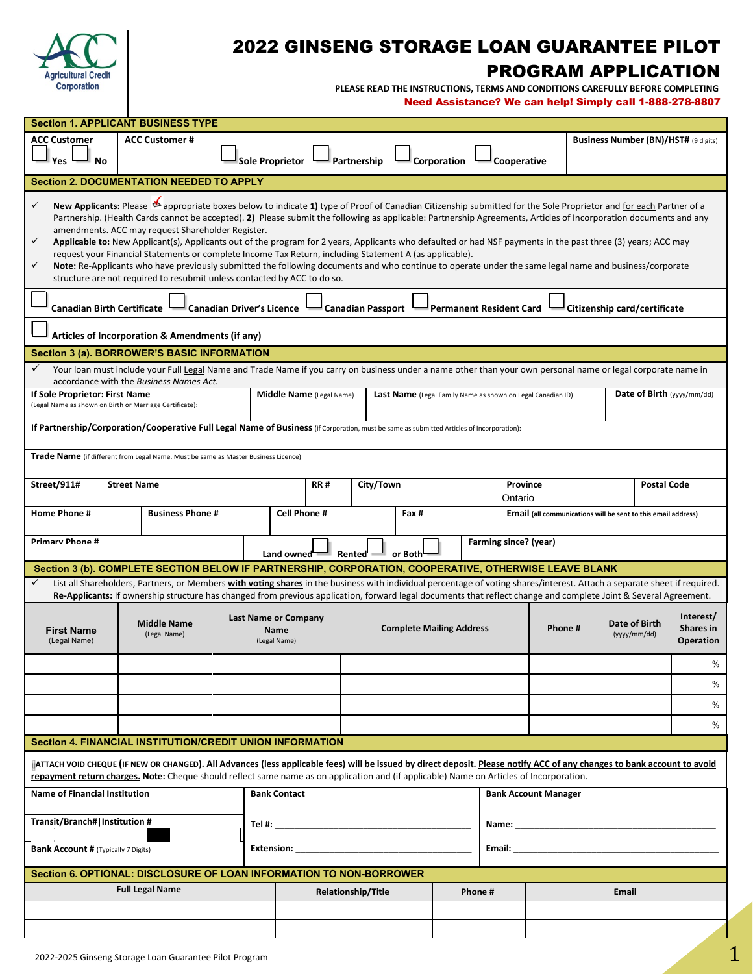

# 2022 GINSENG STORAGE LOAN GUARANTEE PILOT PROGRAM APPLICATION

 **PLEASE READ THE INSTRUCTIONS, TERMS AND CONDITIONS CAREFULLY BEFORE COMPLETING**

Need Assistance? We can help! Simply call 1-888-278-8807

| <b>Section 1. APPLICANT BUSINESS TYPE</b>                                                                                                                                                                                                                                                                                                                                                                                                                                                                                                                                                                                                                                                                                                                                                                                                                                                                      |                                                     |                                                                    |                                |                       |                                                                      |                                            |  |
|----------------------------------------------------------------------------------------------------------------------------------------------------------------------------------------------------------------------------------------------------------------------------------------------------------------------------------------------------------------------------------------------------------------------------------------------------------------------------------------------------------------------------------------------------------------------------------------------------------------------------------------------------------------------------------------------------------------------------------------------------------------------------------------------------------------------------------------------------------------------------------------------------------------|-----------------------------------------------------|--------------------------------------------------------------------|--------------------------------|-----------------------|----------------------------------------------------------------------|--------------------------------------------|--|
| <b>ACC Customer#</b><br><b>ACC Customer</b><br>Yes<br><b>No</b>                                                                                                                                                                                                                                                                                                                                                                                                                                                                                                                                                                                                                                                                                                                                                                                                                                                | <b>Sole Proprietor</b><br>Partnership               | Corporation                                                        |                                | Cooperative           |                                                                      | Business Number (BN)/HST# (9 digits)       |  |
| <b>Section 2. DOCUMENTATION NEEDED TO APPLY</b>                                                                                                                                                                                                                                                                                                                                                                                                                                                                                                                                                                                                                                                                                                                                                                                                                                                                |                                                     |                                                                    |                                |                       |                                                                      |                                            |  |
| Appropriate boxes below to indicate 1) type of Proof of Canadian Citizenship submitted for the Sole Proprietor and for each Partner of a<br>$\checkmark$<br>Partnership. (Health Cards cannot be accepted). 2) Please submit the following as applicable: Partnership Agreements, Articles of Incorporation documents and any<br>amendments. ACC may request Shareholder Register.<br>✓<br>Applicable to: New Applicant(s), Applicants out of the program for 2 years, Applicants who defaulted or had NSF payments in the past three (3) years; ACC may<br>request your Financial Statements or complete Income Tax Return, including Statement A (as applicable).<br>Note: Re-Applicants who have previously submitted the following documents and who continue to operate under the same legal name and business/corporate<br>✓<br>structure are not required to resubmit unless contacted by ACC to do so. |                                                     |                                                                    |                                |                       |                                                                      |                                            |  |
| <b>Canadian Birth Certificate</b><br><b>Canadian Driver's Licence</b>                                                                                                                                                                                                                                                                                                                                                                                                                                                                                                                                                                                                                                                                                                                                                                                                                                          |                                                     | <b>Canadian Passport</b>                                           | <b>Permanent Resident Card</b> |                       | Citizenship card/certificate                                         |                                            |  |
| Articles of Incorporation & Amendments (if any)                                                                                                                                                                                                                                                                                                                                                                                                                                                                                                                                                                                                                                                                                                                                                                                                                                                                |                                                     |                                                                    |                                |                       |                                                                      |                                            |  |
| Section 3 (a). BORROWER'S BASIC INFORMATION                                                                                                                                                                                                                                                                                                                                                                                                                                                                                                                                                                                                                                                                                                                                                                                                                                                                    |                                                     |                                                                    |                                |                       |                                                                      |                                            |  |
| Your loan must include your Full Legal Name and Trade Name if you carry on business under a name other than your own personal name or legal corporate name in<br>✓<br>accordance with the Business Names Act.                                                                                                                                                                                                                                                                                                                                                                                                                                                                                                                                                                                                                                                                                                  |                                                     |                                                                    |                                |                       |                                                                      |                                            |  |
| If Sole Proprietor: First Name<br>(Legal Name as shown on Birth or Marriage Certificate):                                                                                                                                                                                                                                                                                                                                                                                                                                                                                                                                                                                                                                                                                                                                                                                                                      | Middle Name (Legal Name)                            | <b>Last Name</b> (Legal Family Name as shown on Legal Canadian ID) |                                |                       |                                                                      | Date of Birth (yyyy/mm/dd)                 |  |
| If Partnership/Corporation/Cooperative Full Legal Name of Business (if Corporation, must be same as submitted Articles of Incorporation):                                                                                                                                                                                                                                                                                                                                                                                                                                                                                                                                                                                                                                                                                                                                                                      |                                                     |                                                                    |                                |                       |                                                                      |                                            |  |
| Trade Name (if different from Legal Name. Must be same as Master Business Licence)                                                                                                                                                                                                                                                                                                                                                                                                                                                                                                                                                                                                                                                                                                                                                                                                                             |                                                     |                                                                    |                                |                       |                                                                      |                                            |  |
| Street/911#<br><b>Street Name</b>                                                                                                                                                                                                                                                                                                                                                                                                                                                                                                                                                                                                                                                                                                                                                                                                                                                                              | <b>RR#</b>                                          | City/Town                                                          |                                | <b>Province</b>       |                                                                      | <b>Postal Code</b>                         |  |
| <b>Home Phone #</b><br><b>Business Phone #</b>                                                                                                                                                                                                                                                                                                                                                                                                                                                                                                                                                                                                                                                                                                                                                                                                                                                                 | Cell Phone #                                        | Fax #                                                              |                                | Ontario               | <b>Email</b> (all communications will be sent to this email address) |                                            |  |
|                                                                                                                                                                                                                                                                                                                                                                                                                                                                                                                                                                                                                                                                                                                                                                                                                                                                                                                |                                                     |                                                                    |                                |                       |                                                                      |                                            |  |
| <b>Primary Phone #</b>                                                                                                                                                                                                                                                                                                                                                                                                                                                                                                                                                                                                                                                                                                                                                                                                                                                                                         | Land owned<br>Rented                                | or Both                                                            |                                | Farming since? (year) |                                                                      |                                            |  |
| Section 3 (b). COMPLETE SECTION BELOW IF PARTNERSHIP, CORPORATION, COOPERATIVE, OTHERWISE LEAVE BLANK                                                                                                                                                                                                                                                                                                                                                                                                                                                                                                                                                                                                                                                                                                                                                                                                          |                                                     |                                                                    |                                |                       |                                                                      |                                            |  |
| List all Shareholders, Partners, or Members with voting shares in the business with individual percentage of voting shares/interest. Attach a separate sheet if required.<br>Re-Applicants: If ownership structure has changed from previous application, forward legal documents that reflect change and complete Joint & Several Agreement.                                                                                                                                                                                                                                                                                                                                                                                                                                                                                                                                                                  |                                                     |                                                                    |                                |                       |                                                                      |                                            |  |
| <b>Middle Name</b><br><b>First Name</b><br>(Legal Name)<br>(Legal Name)                                                                                                                                                                                                                                                                                                                                                                                                                                                                                                                                                                                                                                                                                                                                                                                                                                        | <b>Last Name or Company</b><br>Name<br>(Legal Name) | <b>Complete Mailing Address</b>                                    |                                | Phone#                | Date of Birth<br>(yyyy/mm/dd)                                        | Interest/<br>Shares in<br><b>Operation</b> |  |
|                                                                                                                                                                                                                                                                                                                                                                                                                                                                                                                                                                                                                                                                                                                                                                                                                                                                                                                |                                                     |                                                                    |                                |                       |                                                                      | $\%$                                       |  |
|                                                                                                                                                                                                                                                                                                                                                                                                                                                                                                                                                                                                                                                                                                                                                                                                                                                                                                                |                                                     |                                                                    |                                |                       |                                                                      | %                                          |  |
|                                                                                                                                                                                                                                                                                                                                                                                                                                                                                                                                                                                                                                                                                                                                                                                                                                                                                                                |                                                     |                                                                    |                                |                       |                                                                      | $\%$                                       |  |
|                                                                                                                                                                                                                                                                                                                                                                                                                                                                                                                                                                                                                                                                                                                                                                                                                                                                                                                |                                                     |                                                                    |                                |                       |                                                                      | $\%$                                       |  |
| Section 4. FINANCIAL INSTITUTION/CREDIT UNION INFORMATION                                                                                                                                                                                                                                                                                                                                                                                                                                                                                                                                                                                                                                                                                                                                                                                                                                                      |                                                     |                                                                    |                                |                       |                                                                      |                                            |  |
| ATTACH VOID CHEQUE (IF NEW OR CHANGED). All Advances (less applicable fees) will be issued by direct deposit. Please notify ACC of any changes to bank account to avoid<br>repayment return charges. Note: Cheque should reflect same name as on application and (if applicable) Name on Articles of Incorporation.                                                                                                                                                                                                                                                                                                                                                                                                                                                                                                                                                                                            |                                                     |                                                                    |                                |                       |                                                                      |                                            |  |
| <b>Name of Financial Institution</b><br><b>Bank Contact</b><br><b>Bank Account Manager</b>                                                                                                                                                                                                                                                                                                                                                                                                                                                                                                                                                                                                                                                                                                                                                                                                                     |                                                     |                                                                    |                                |                       |                                                                      |                                            |  |
| Transit/Branch# Institution #<br>Name: and the state of the state of the state of the state of the state of the state of the state of the state of the state of the state of the state of the state of the state of the state of the state of the state of the                                                                                                                                                                                                                                                                                                                                                                                                                                                                                                                                                                                                                                                 |                                                     |                                                                    |                                |                       |                                                                      |                                            |  |
| Extension: <b>Extension</b><br>Email: <b>Example 19</b><br><b>Bank Account # (Typically 7 Digits)</b>                                                                                                                                                                                                                                                                                                                                                                                                                                                                                                                                                                                                                                                                                                                                                                                                          |                                                     |                                                                    |                                |                       |                                                                      |                                            |  |
| Section 6. OPTIONAL: DISCLOSURE OF LOAN INFORMATION TO NON-BORROWER                                                                                                                                                                                                                                                                                                                                                                                                                                                                                                                                                                                                                                                                                                                                                                                                                                            |                                                     |                                                                    |                                |                       |                                                                      |                                            |  |
| <b>Full Legal Name</b>                                                                                                                                                                                                                                                                                                                                                                                                                                                                                                                                                                                                                                                                                                                                                                                                                                                                                         | <b>Relationship/Title</b>                           |                                                                    | Phone #                        |                       | Email                                                                |                                            |  |
|                                                                                                                                                                                                                                                                                                                                                                                                                                                                                                                                                                                                                                                                                                                                                                                                                                                                                                                |                                                     |                                                                    |                                |                       |                                                                      |                                            |  |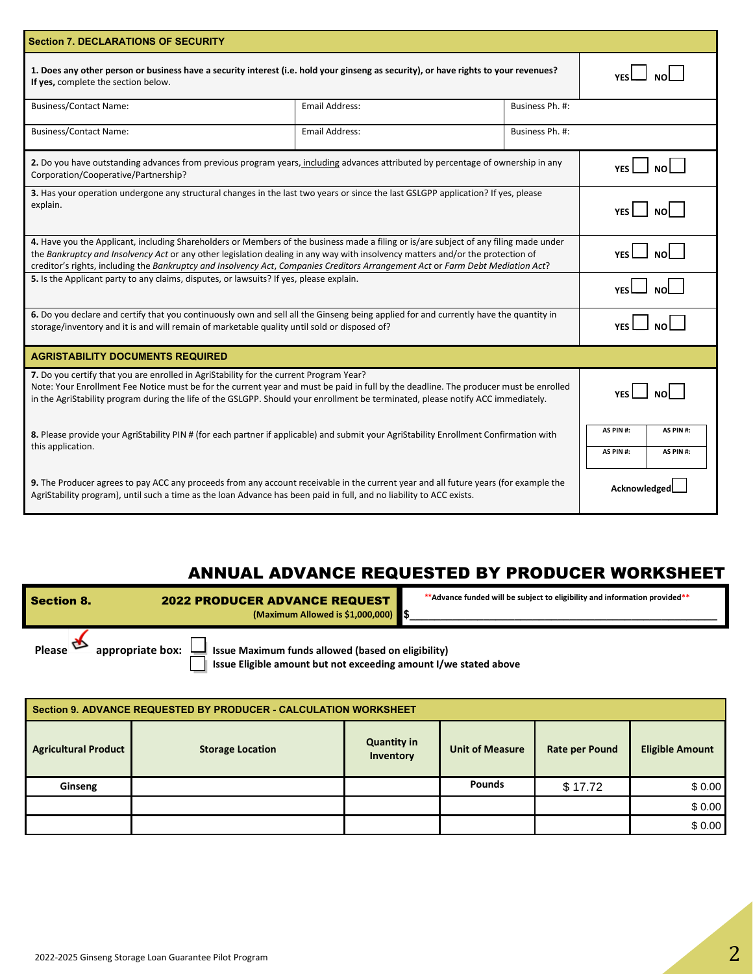| <b>Section 7. DECLARATIONS OF SECURITY</b>                                                                                                                                                                                                                                                                                                                                                                 |                       |                                                  |            |  |  |  |
|------------------------------------------------------------------------------------------------------------------------------------------------------------------------------------------------------------------------------------------------------------------------------------------------------------------------------------------------------------------------------------------------------------|-----------------------|--------------------------------------------------|------------|--|--|--|
| 1. Does any other person or business have a security interest (i.e. hold your ginseng as security), or have rights to your revenues?<br>If yes, complete the section below.                                                                                                                                                                                                                                |                       |                                                  |            |  |  |  |
| <b>Business/Contact Name:</b>                                                                                                                                                                                                                                                                                                                                                                              | <b>Email Address:</b> | Business Ph. #:                                  |            |  |  |  |
| <b>Business/Contact Name:</b>                                                                                                                                                                                                                                                                                                                                                                              | Email Address:        | Business Ph. #:                                  |            |  |  |  |
| 2. Do you have outstanding advances from previous program years, including advances attributed by percentage of ownership in any<br>Corporation/Cooperative/Partnership?                                                                                                                                                                                                                                   |                       |                                                  | NO<br>YES  |  |  |  |
| 3. Has your operation undergone any structural changes in the last two years or since the last GSLGPP application? If yes, please<br>explain.                                                                                                                                                                                                                                                              |                       | моl                                              |            |  |  |  |
| 4. Have you the Applicant, including Shareholders or Members of the business made a filing or is/are subject of any filing made under<br>the Bankruptcy and Insolvency Act or any other legislation dealing in any way with insolvency matters and/or the protection of<br>creditor's rights, including the Bankruptcy and Insolvency Act, Companies Creditors Arrangement Act or Farm Debt Mediation Act? |                       | <b>YFS</b>                                       |            |  |  |  |
| 5. Is the Applicant party to any claims, disputes, or lawsuits? If yes, please explain.                                                                                                                                                                                                                                                                                                                    |                       |                                                  | <b>YFS</b> |  |  |  |
| 6. Do you declare and certify that you continuously own and sell all the Ginseng being applied for and currently have the quantity in<br>storage/inventory and it is and will remain of marketable quality until sold or disposed of?                                                                                                                                                                      |                       |                                                  | <b>YFS</b> |  |  |  |
| <b>AGRISTABILITY DOCUMENTS REQUIRED</b>                                                                                                                                                                                                                                                                                                                                                                    |                       |                                                  |            |  |  |  |
| 7. Do you certify that you are enrolled in AgriStability for the current Program Year?<br>Note: Your Enrollment Fee Notice must be for the current year and must be paid in full by the deadline. The producer must be enrolled<br>in the AgriStability program during the life of the GSLGPP. Should your enrollment be terminated, please notify ACC immediately.                                        |                       |                                                  |            |  |  |  |
| 8. Please provide your AgriStability PIN # (for each partner if applicable) and submit your AgriStability Enrollment Confirmation with<br>this application.                                                                                                                                                                                                                                                |                       | AS PIN #:<br>AS PIN #:<br>AS PIN #:<br>AS PIN #: |            |  |  |  |
| 9. The Producer agrees to pay ACC any proceeds from any account receivable in the current year and all future years (for example the<br>AgriStability program), until such a time as the loan Advance has been paid in full, and no liability to ACC exists.                                                                                                                                               |                       | Acknowledge                                      |            |  |  |  |

# ANNUAL ADVANCE REQUESTED BY PRODUCER WORKSHEET

| <b>Section 8.</b>                 | <b>2022 PRODUCER ADVANCE REQUEST</b><br>(Maximum Allowed is \$1,000,000) \$                                            | **Advance funded will be subject to eligibility and information provided** |
|-----------------------------------|------------------------------------------------------------------------------------------------------------------------|----------------------------------------------------------------------------|
| appropriate box:<br><b>Please</b> | Issue Maximum funds allowed (based on eligibility)<br>Issue Eligible amount but not exceeding amount I/we stated above |                                                                            |

| Section 9. ADVANCE REQUESTED BY PRODUCER - CALCULATION WORKSHEET |                         |                                 |                        |                |                        |  |  |  |
|------------------------------------------------------------------|-------------------------|---------------------------------|------------------------|----------------|------------------------|--|--|--|
| <b>Agricultural Product</b>                                      | <b>Storage Location</b> | <b>Quantity in</b><br>Inventory | <b>Unit of Measure</b> | Rate per Pound | <b>Eligible Amount</b> |  |  |  |
| Ginseng                                                          |                         |                                 | <b>Pounds</b>          | \$17.72        | \$0.00                 |  |  |  |
|                                                                  |                         |                                 |                        |                | \$0.00                 |  |  |  |
|                                                                  |                         |                                 |                        |                | \$0.00                 |  |  |  |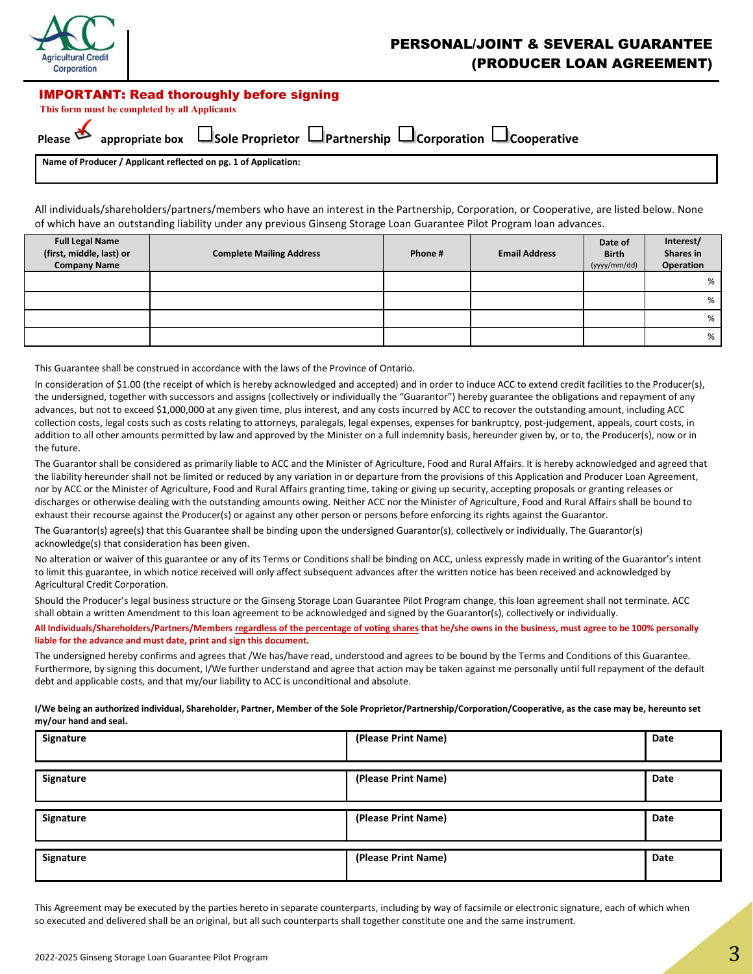

## PERSONAL/JOINT & SEVERAL GUARANTEE (PRODUCER LOAN AGREEMENT)

#### IMPORTANT: Read thoroughly before signing

 **This form must be completed by all Applicants**

|    | $\mathbf{r}$ |  |  |                         |  |
|----|--------------|--|--|-------------------------|--|
| ä. |              |  |  | $\cdot$ $\cdot$ $\cdot$ |  |

| <b>ippropria</b> |  |  |  |  |
|------------------|--|--|--|--|
|                  |  |  |  |  |

|                          |                 |                  | $\Box$ Partnership | <b>J</b> Corporation | $\Box$ Cooperative |
|--------------------------|-----------------|------------------|--------------------|----------------------|--------------------|
| $Please \nightharpoonup$ | appropriate box | ⊿Sole Proprietor |                    |                      |                    |

**Name of Producer / Applicant reflected on pg. 1 of Application:**

All individuals/shareholders/partners/members who have an interest in the Partnership, Corporation, or Cooperative, are listed below. None of which have an outstanding liability under any previous Ginseng Storage Loan Guarantee Pilot Program loan advances.

| <b>Full Legal Name</b><br>(first, middle, last) or<br><b>Company Name</b> | <b>Complete Mailing Address</b> | Phone # | <b>Email Address</b> | Date of<br><b>Birth</b><br>(yyyy/mm/dd) | Interest/<br>Shares in<br>Operation |
|---------------------------------------------------------------------------|---------------------------------|---------|----------------------|-----------------------------------------|-------------------------------------|
|                                                                           |                                 |         |                      |                                         | %                                   |
|                                                                           |                                 |         |                      |                                         | %                                   |
|                                                                           |                                 |         |                      |                                         | %                                   |
|                                                                           |                                 |         |                      |                                         | %                                   |

This Guarantee shall be construed in accordance with the laws of the Province of Ontario.

In consideration of \$1.00 (the receipt of which is hereby acknowledged and accepted) and in order to induce ACC to extend credit facilities to the Producer(s), the undersigned, together with successors and assigns (collectively or individually the "Guarantor") hereby guarantee the obligations and repayment of any advances, but not to exceed \$1,000,000 at any given time, plus interest, and any costs incurred by ACC to recover the outstanding amount, including ACC collection costs, legal costs such as costs relating to attorneys, paralegals, legal expenses, expenses for bankruptcy, post-judgement, appeals, court costs, in addition to all other amounts permitted by law and approved by the Minister on a full indemnity basis, hereunder given by, or to, the Producer(s), now or in the future.

The Guarantor shall be considered as primarily liable to ACC and the Minister of Agriculture, Food and Rural Affairs. It is hereby acknowledged and agreed that the liability hereunder shall not be limited or reduced by any variation in or departure from the provisions of this Application and Producer Loan Agreement, nor by ACC or the Minister of Agriculture, Food and Rural Affairs granting time, taking or giving up security, accepting proposals or granting releases or discharges or otherwise dealing with the outstanding amounts owing. Neither ACC nor the Minister of Agriculture, Food and Rural Affairs shall be bound to exhaust their recourse against the Producer(s) or against any other person or persons before enforcing its rights against the Guarantor.

The Guarantor(s) agree(s) that this Guarantee shall be binding upon the undersigned Guarantor(s), collectively or individually. The Guarantor(s) acknowledge(s) that consideration has been given.

No alteration or waiver of this guarantee or any of its Terms or Conditions shall be binding on ACC, unless expressly made in writing of the Guarantor's intent to limit this guarantee, in which notice received will only affect subsequent advances after the written notice has been received and acknowledged by Agricultural Credit Corporation.

Should the Producer's legal business structure or the Ginseng Storage Loan Guarantee Pilot Program change, this loan agreement shall not terminate. ACC shall obtain a written Amendment to this loan agreement to be acknowledged and signed by the Guarantor(s), collectively or individually.

**All Individuals/Shareholders/Partners/Members regardless of the percentage of voting shares that he/she owns in the business, must agree to be 100% personally liable for the advance and must date, print and sign this document.** 

The undersigned hereby confirms and agrees that /We has/have read, understood and agrees to be bound by the Terms and Conditions of this Guarantee. Furthermore, by signing this document, I/We further understand and agree that action may be taken against me personally until full repayment of the default debt and applicable costs, and that my/our liability to ACC is unconditional and absolute.

**I/We being an authorized individual, Shareholder, Partner, Member of the Sole Proprietor/Partnership/Corporation/Cooperative, as the case may be, hereunto set my/our hand and seal.**

| Signature | (Please Print Name) | Date |
|-----------|---------------------|------|
| Signature | (Please Print Name) | Date |
| Signature | (Please Print Name) | Date |
| Signature | (Please Print Name) | Date |

This Agreement may be executed by the parties hereto in separate counterparts, including by way of facsimile or electronic signature, each of which when so executed and delivered shall be an original, but all such counterparts shall together constitute one and the same instrument.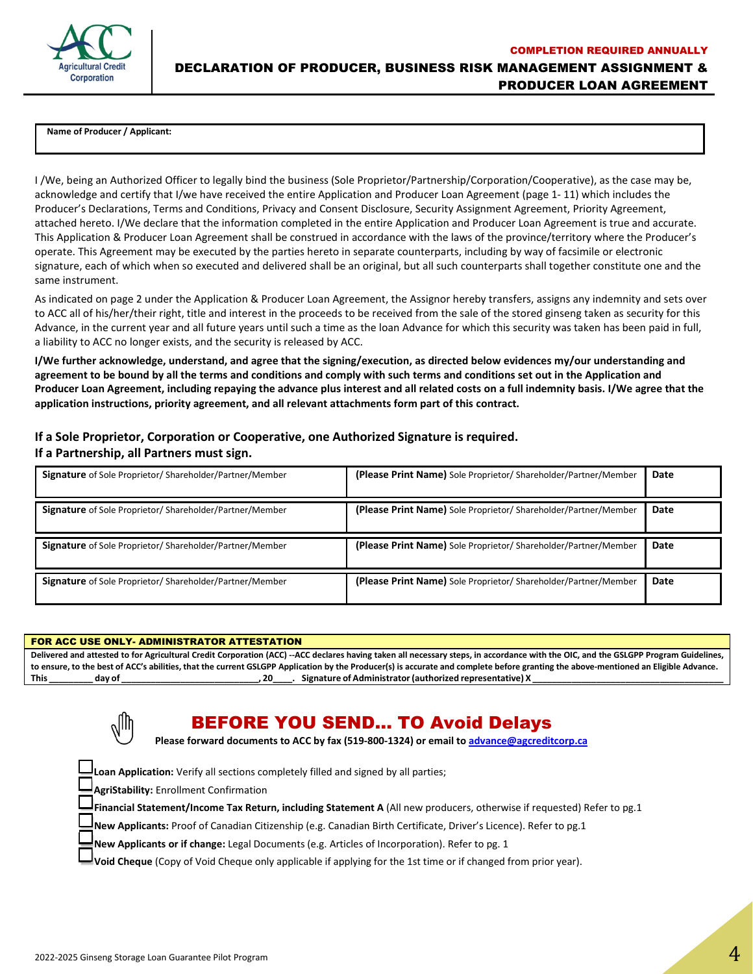

COMPLETION REQUIRED ANNUALLY DECLARATION OF PRODUCER, BUSINESS RISK MANAGEMENT ASSIGNMENT & PRODUCER LOAN AGREEMENT

 **Name of Producer / Applicant:**

I /We, being an Authorized Officer to legally bind the business (Sole Proprietor/Partnership/Corporation/Cooperative), as the case may be, acknowledge and certify that I/we have received the entire Application and Producer Loan Agreement (page 1- 11) which includes the Producer's Declarations, Terms and Conditions, Privacy and Consent Disclosure, Security Assignment Agreement, Priority Agreement, attached hereto. I/We declare that the information completed in the entire Application and Producer Loan Agreement is true and accurate. This Application & Producer Loan Agreement shall be construed in accordance with the laws of the province/territory where the Producer's operate. This Agreement may be executed by the parties hereto in separate counterparts, including by way of facsimile or electronic signature, each of which when so executed and delivered shall be an original, but all such counterparts shall together constitute one and the same instrument.

As indicated on page 2 under the Application & Producer Loan Agreement, the Assignor hereby transfers, assigns any indemnity and sets over to ACC all of his/her/their right, title and interest in the proceeds to be received from the sale of the stored ginseng taken as security for this Advance, in the current year and all future years until such a time as the loan Advance for which this security was taken has been paid in full, a liability to ACC no longer exists, and the security is released by ACC.

**I/We further acknowledge, understand, and agree that the signing/execution, as directed below evidences my/our understanding and agreement to be bound by all the terms and conditions and comply with such terms and conditions set out in the Application and Producer Loan Agreement, including repaying the advance plus interest and all related costs on a full indemnity basis. I/We agree that the application instructions, priority agreement, and all relevant attachments form part of this contract.** 

#### **If a Sole Proprietor, Corporation or Cooperative, one Authorized Signature is required. If a Partnership, all Partners must sign.**

| Signature of Sole Proprietor/ Shareholder/Partner/Member       | (Please Print Name) Sole Proprietor/ Shareholder/Partner/Member | Date |
|----------------------------------------------------------------|-----------------------------------------------------------------|------|
| <b>Signature</b> of Sole Proprietor/Shareholder/Partner/Member | (Please Print Name) Sole Proprietor/ Shareholder/Partner/Member | Date |
| Signature of Sole Proprietor/ Shareholder/Partner/Member       | (Please Print Name) Sole Proprietor/Shareholder/Partner/Member  | Date |
| Signature of Sole Proprietor/Shareholder/Partner/Member        | (Please Print Name) Sole Proprietor/Shareholder/Partner/Member  | Date |

#### FOR ACC USE ONLY- ADMINISTRATOR ATTESTATION

**Delivered and attested to for Agricultural Credit Corporation (ACC) --ACC declares having taken all necessary steps, in accordance with the OIC, and the GSLGPP Program Guidelines, to ensure, to the best of ACC's abilities, that the current GSLGPP Application by the Producer(s) is accurate and complete before granting the above-mentioned an Eligible Advance. This \_\_\_\_\_\_\_\_\_ day of \_\_\_\_\_\_\_\_\_\_\_\_\_\_\_\_\_\_\_\_\_\_\_\_\_\_\_\_, 20\_\_\_\_. Signature of Administrator (authorized representative) X \_\_\_\_\_\_\_\_\_\_\_\_\_\_\_\_\_\_\_\_\_\_\_\_\_\_\_\_\_\_\_\_\_\_\_\_\_\_\_** 



# BEFORE YOU SEND… TO Avoid Delays

**Please forward documents to ACC by fax (519-800-1324) or email t[o advance@agcreditcorp.ca](mailto:advance@agcreditcorp.ca)**

**Loan Application:** Verify all sections completely filled and signed by all parties;

**AgriStability:** Enrollment Confirmation

**Financial Statement/Income Tax Return, including Statement A** (All new producers, otherwise if requested) Refer to pg.1

**New Applicants:** Proof of Canadian Citizenship (e.g. Canadian Birth Certificate, Driver's Licence). Refer to pg.1

**New Applicants or if change:** Legal Documents (e.g. Articles of Incorporation). Refer to pg. 1

**Void Cheque** (Copy of Void Cheque only applicable if applying for the 1st time or if changed from prior year).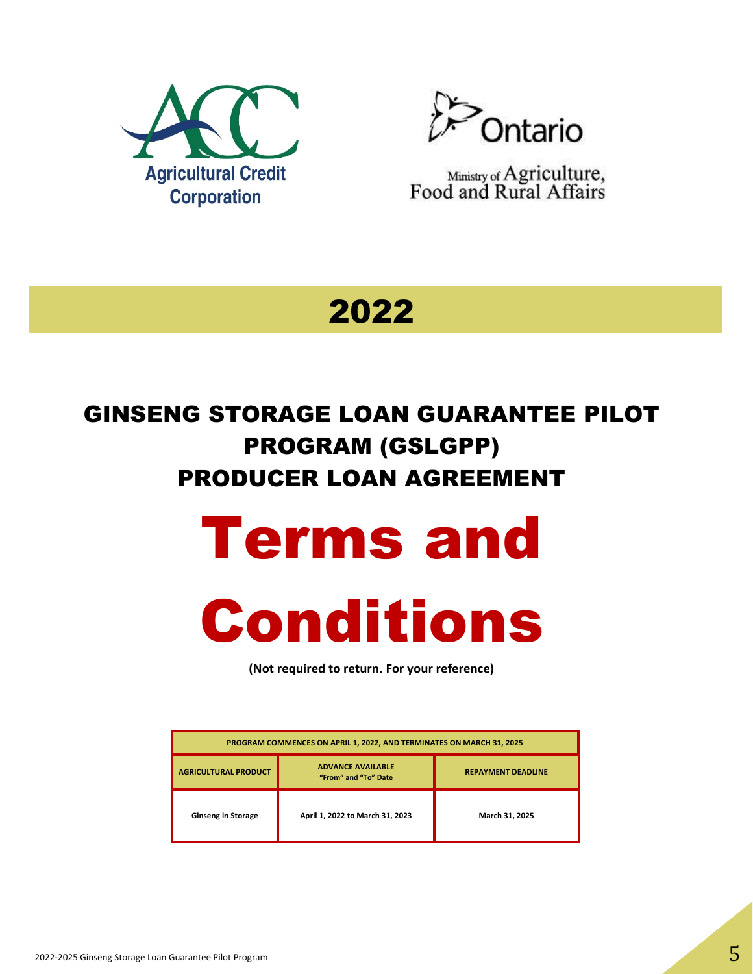



Ministry of Agriculture,<br>Food and Rural Affairs

2022

# GINSENG STORAGE LOAN GUARANTEE PILOT PROGRAM (GSLGPP) PRODUCER LOAN AGREEMENT

# Terms and



**(Not required to return. For your reference)**

| PROGRAM COMMENCES ON APRIL 1, 2022, AND TERMINATES ON MARCH 31, 2025 |                                                  |                           |  |  |  |
|----------------------------------------------------------------------|--------------------------------------------------|---------------------------|--|--|--|
| <b>AGRICULTURAL PRODUCT</b>                                          | <b>ADVANCE AVAILABLE</b><br>"From" and "To" Date | <b>REPAYMENT DEADLINE</b> |  |  |  |
| <b>Ginseng in Storage</b>                                            | April 1, 2022 to March 31, 2023                  | March 31, 2025            |  |  |  |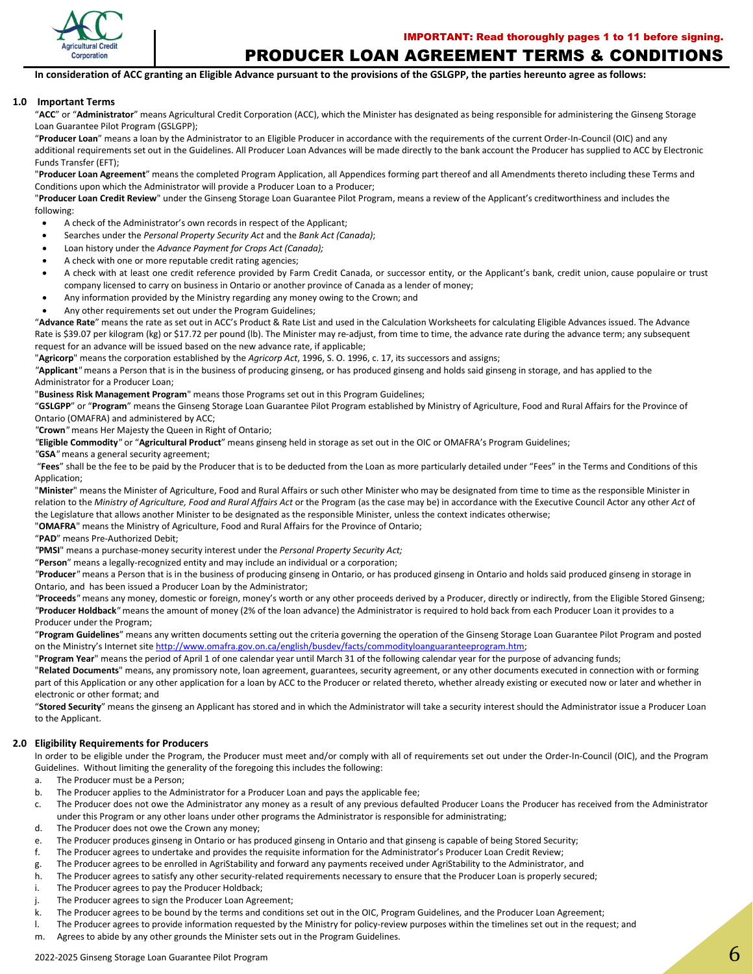

### PRODUCER LOAN AGREEMENT TERMS & CONDITIONS

**In consideration of ACC granting an Eligible Advance pursuant to the provisions of the GSLGPP, the parties hereunto agree as follows:**

#### **1.0 Important Terms**

"**ACC**" or "**Administrator**" means Agricultural Credit Corporation (ACC), which the Minister has designated as being responsible for administering the Ginseng Storage Loan Guarantee Pilot Program (GSLGPP);

"**Producer Loan**" means a loan by the Administrator to an Eligible Producer in accordance with the requirements of the current Order-In-Council (OIC) and any additional requirements set out in the Guidelines. All Producer Loan Advances will be made directly to the bank account the Producer has supplied to ACC by Electronic Funds Transfer (EFT);

"**Producer Loan Agreement**" means the completed Program Application, all Appendices forming part thereof and all Amendments thereto including these Terms and Conditions upon which the Administrator will provide a Producer Loan to a Producer;

"**Producer Loan Credit Review**" under the Ginseng Storage Loan Guarantee Pilot Program, means a review of the Applicant's creditworthiness and includes the following:

- A check of the Administrator's own records in respect of the Applicant;
- Searches under the *Personal Property Security Act* and the *Bank Act (Canada)*;
- Loan history under the *Advance Payment for Crops Act (Canada);*
- A check with one or more reputable credit rating agencies;
- A check with at least one credit reference provided by Farm Credit Canada, or successor entity, or the Applicant's bank, credit union, cause populaire or trust company licensed to carry on business in Ontario or another province of Canada as a lender of money;
- Any information provided by the Ministry regarding any money owing to the Crown; and
- Any other requirements set out under the Program Guidelines;

"**Advance Rate**" means the rate as set out in ACC's Product & Rate List and used in the Calculation Worksheets for calculating Eligible Advances issued. The Advance Rate is \$39.07 per kilogram (kg) or \$17.72 per pound (lb). The Minister may re-adjust, from time to time, the advance rate during the advance term; any subsequent request for an advance will be issued based on the new advance rate, if applicable;

"**Agricorp**" means the corporation established by the *Agricorp Act*, 1996, S. O. 1996, c. 17, its successors and assigns;

*"***Applicant***"* means a Person that is in the business of producing ginseng, or has produced ginseng and holds said ginseng in storage, and has applied to the Administrator for a Producer Loan;

"**Business Risk Management Program**" means those Programs set out in this Program Guidelines;

"**GSLGPP**" or "**Program**" means the Ginseng Storage Loan Guarantee Pilot Program established by Ministry of Agriculture, Food and Rural Affairs for the Province of Ontario (OMAFRA) and administered by ACC;

*"***Crown***"* means Her Majesty the Queen in Right of Ontario;

*"***Eligible Commodity***"* or "**Agricultural Product**" means ginseng held in storage as set out in the OIC or OMAFRA's Program Guidelines;

*"***GSA***"* means a general security agreement;

"**Fees**" shall be the fee to be paid by the Producer that is to be deducted from the Loan as more particularly detailed under "Fees" in the Terms and Conditions of this Application:

"**Minister**" means the Minister of Agriculture, Food and Rural Affairs or such other Minister who may be designated from time to time as the responsible Minister in relation to the *Ministry of Agriculture, Food and Rural Affairs Act* or the Program (as the case may be) in accordance with the Executive Council Actor any other *Act* of the Legislature that allows another Minister to be designated as the responsible Minister, unless the context indicates otherwise;

"**OMAFRA**" means the Ministry of Agriculture, Food and Rural Affairs for the Province of Ontario;

"**PAD**" means Pre-Authorized Debit;

*"***PMSI**" means a purchase-money security interest under the *Personal Property Security Act;*

"**Person**" means a legally-recognized entity and may include an individual or a corporation;

*"***Producer***"* means a Person that is in the business of producing ginseng in Ontario, or has produced ginseng in Ontario and holds said produced ginseng in storage in Ontario, and has been issued a Producer Loan by the Administrator;

*"***Proceeds***"* means any money, domestic or foreign, money's worth or any other proceeds derived by a Producer, directly or indirectly, from the Eligible Stored Ginseng; *"***Producer Holdback***"* means the amount of money (2% of the loan advance) the Administrator is required to hold back from each Producer Loan it provides to a Producer under the Program;

"**Program Guidelines**" means any written documents setting out the criteria governing the operation of the Ginseng Storage Loan Guarantee Pilot Program and posted on the Ministry's Internet site [http://www.omafra.gov.on.ca/english/busdev/facts/commodityloanguaranteeprogram.htm;](http://www.omafra.gov.on.ca/english/busdev/facts/commodityloanguaranteeprogram.htm)

"**Program Year**" means the period of April 1 of one calendar year until March 31 of the following calendar year for the purpose of advancing funds;

"**Related Documents**" means, any promissory note, loan agreement, guarantees, security agreement, or any other documents executed in connection with or forming part of this Application or any other application for a loan by ACC to the Producer or related thereto, whether already existing or executed now or later and whether in electronic or other format; and

"**Stored Security**" means the ginseng an Applicant has stored and in which the Administrator will take a security interest should the Administrator issue a Producer Loan to the Applicant.

#### **2.0 Eligibility Requirements for Producers**

In order to be eligible under the Program, the Producer must meet and/or comply with all of requirements set out under the Order-In-Council (OIC), and the Program Guidelines. Without limiting the generality of the foregoing this includes the following:

- a. The Producer must be a Person;
- b. The Producer applies to the Administrator for a Producer Loan and pays the applicable fee;
- c. The Producer does not owe the Administrator any money as a result of any previous defaulted Producer Loans the Producer has received from the Administrator under this Program or any other loans under other programs the Administrator is responsible for administrating;
- d. The Producer does not owe the Crown any money;
- e. The Producer produces ginseng in Ontario or has produced ginseng in Ontario and that ginseng is capable of being Stored Security;
- f. The Producer agrees to undertake and provides the requisite information for the Administrator's Producer Loan Credit Review;
- g. The Producer agrees to be enrolled in AgriStability and forward any payments received under AgriStability to the Administrator, and
- h. The Producer agrees to satisfy any other security-related requirements necessary to ensure that the Producer Loan is properly secured;
- i. The Producer agrees to pay the Producer Holdback;
- j. The Producer agrees to sign the Producer Loan Agreement;
- k. The Producer agrees to be bound by the terms and conditions set out in the OIC, Program Guidelines, and the Producer Loan Agreement;
- l. The Producer agrees to provide information requested by the Ministry for policy-review purposes within the timelines set out in the request; and
- m. Agrees to abide by any other grounds the Minister sets out in the Program Guidelines.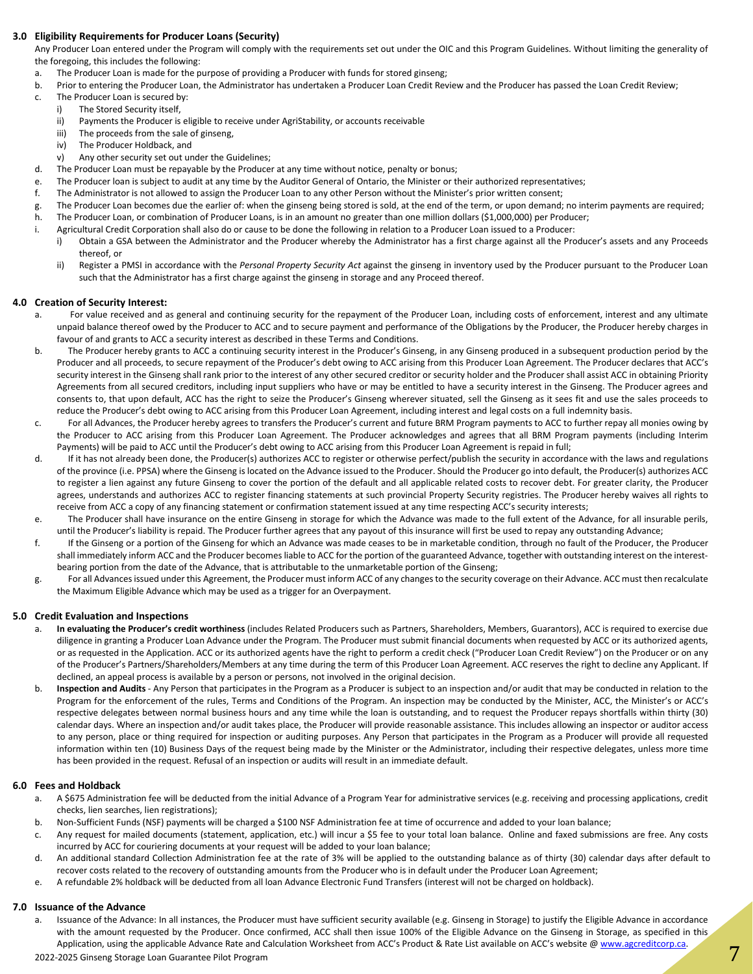#### **3.0 Eligibility Requirements for Producer Loans (Security)**

Any Producer Loan entered under the Program will comply with the requirements set out under the OIC and this Program Guidelines. Without limiting the generality of the foregoing, this includes the following:

- a. The Producer Loan is made for the purpose of providing a Producer with funds for stored ginseng;
- b. Prior to entering the Producer Loan, the Administrator has undertaken a Producer Loan Credit Review and the Producer has passed the Loan Credit Review;
- c. The Producer Loan is secured by:
	- i) The Stored Security itself,
	- ii) Payments the Producer is eligible to receive under AgriStability, or accounts receivable
	- iii) The proceeds from the sale of ginseng,
	- iv) The Producer Holdback, and
	- v) Any other security set out under the Guidelines;
- d. The Producer Loan must be repayable by the Producer at any time without notice, penalty or bonus;
- e. The Producer loan is subject to audit at any time by the Auditor General of Ontario, the Minister or their authorized representatives;
- f. The Administrator is not allowed to assign the Producer Loan to any other Person without the Minister's prior written consent;
- g. The Producer Loan becomes due the earlier of: when the ginseng being stored is sold, at the end of the term, or upon demand; no interim payments are required;
- h. The Producer Loan, or combination of Producer Loans, is in an amount no greater than one million dollars (\$1,000,000) per Producer;
- i. Agricultural Credit Corporation shall also do or cause to be done the following in relation to a Producer Loan issued to a Producer:
	- i) Obtain a GSA between the Administrator and the Producer whereby the Administrator has a first charge against all the Producer's assets and any Proceeds thereof, or
	- ii) Register a PMSI in accordance with the Personal Property Security Act against the ginseng in inventory used by the Producer pursuant to the Producer Loan such that the Administrator has a first charge against the ginseng in storage and any Proceed thereof.

#### **4.0 Creation of Security Interest:**

- a. For value received and as general and continuing security for the repayment of the Producer Loan, including costs of enforcement, interest and any ultimate unpaid balance thereof owed by the Producer to ACC and to secure payment and performance of the Obligations by the Producer, the Producer hereby charges in favour of and grants to ACC a security interest as described in these Terms and Conditions.
- b. The Producer hereby grants to ACC a continuing security interest in the Producer's Ginseng, in any Ginseng produced in a subsequent production period by the Producer and all proceeds, to secure repayment of the Producer's debt owing to ACC arising from this Producer Loan Agreement. The Producer declares that ACC's security interest in the Ginseng shall rank prior to the interest of any other secured creditor or security holder and the Producer shall assist ACC in obtaining Priority Agreements from all secured creditors, including input suppliers who have or may be entitled to have a security interest in the Ginseng. The Producer agrees and consents to, that upon default, ACC has the right to seize the Producer's Ginseng wherever situated, sell the Ginseng as it sees fit and use the sales proceeds to reduce the Producer's debt owing to ACC arising from this Producer Loan Agreement, including interest and legal costs on a full indemnity basis.
- c. For all Advances, the Producer hereby agrees to transfers the Producer's current and future BRM Program payments to ACC to further repay all monies owing by the Producer to ACC arising from this Producer Loan Agreement. The Producer acknowledges and agrees that all BRM Program payments (including Interim Payments) will be paid to ACC until the Producer's debt owing to ACC arising from this Producer Loan Agreement is repaid in full;
- d. If it has not already been done, the Producer(s) authorizes ACC to register or otherwise perfect/publish the security in accordance with the laws and regulations of the province (i.e. PPSA) where the Ginseng is located on the Advance issued to the Producer. Should the Producer go into default, the Producer(s) authorizes ACC to register a lien against any future Ginseng to cover the portion of the default and all applicable related costs to recover debt. For greater clarity, the Producer agrees, understands and authorizes ACC to register financing statements at such provincial Property Security registries. The Producer hereby waives all rights to receive from ACC a copy of any financing statement or confirmation statement issued at any time respecting ACC's security interests;
- e. The Producer shall have insurance on the entire Ginseng in storage for which the Advance was made to the full extent of the Advance, for all insurable perils, until the Producer's liability is repaid. The Producer further agrees that any payout of this insurance will first be used to repay any outstanding Advance;
- f. If the Ginseng or a portion of the Ginseng for which an Advance was made ceases to be in marketable condition, through no fault of the Producer, the Producer shall immediately inform ACC and the Producer becomes liable to ACC for the portion of the guaranteed Advance, together with outstanding interest on the interestbearing portion from the date of the Advance, that is attributable to the unmarketable portion of the Ginseng;
- g. For all Advances issued under this Agreement, the Producer must inform ACC of any changes to the security coverage on their Advance. ACC must then recalculate the Maximum Eligible Advance which may be used as a trigger for an Overpayment.

#### **5.0 Credit Evaluation and Inspections**

- a. **In evaluating the Producer's credit worthiness** (includes Related Producers such as Partners, Shareholders, Members, Guarantors), ACC is required to exercise due diligence in granting a Producer Loan Advance under the Program. The Producer must submit financial documents when requested by ACC or its authorized agents, or as requested in the Application. ACC or its authorized agents have the right to perform a credit check ("Producer Loan Credit Review") on the Producer or on any of the Producer's Partners/Shareholders/Members at any time during the term of this Producer Loan Agreement. ACC reserves the right to decline any Applicant. If declined, an appeal process is available by a person or persons, not involved in the original decision.
- b. **Inspection and Audits** Any Person that participates in the Program as a Producer is subject to an inspection and/or audit that may be conducted in relation to the Program for the enforcement of the rules, Terms and Conditions of the Program. An inspection may be conducted by the Minister, ACC, the Minister's or ACC's respective delegates between normal business hours and any time while the loan is outstanding, and to request the Producer repays shortfalls within thirty (30) calendar days. Where an inspection and/or audit takes place, the Producer will provide reasonable assistance. This includes allowing an inspector or auditor access to any person, place or thing required for inspection or auditing purposes. Any Person that participates in the Program as a Producer will provide all requested information within ten (10) Business Days of the request being made by the Minister or the Administrator, including their respective delegates, unless more time has been provided in the request. Refusal of an inspection or audits will result in an immediate default.

#### **6.0 Fees and Holdback**

- a. A \$675 Administration fee will be deducted from the initial Advance of a Program Year for administrative services (e.g. receiving and processing applications, credit checks, lien searches, lien registrations);
- b. Non-Sufficient Funds (NSF) payments will be charged a \$100 NSF Administration fee at time of occurrence and added to your loan balance;
- c. Any request for mailed documents (statement, application, etc.) will incur a \$5 fee to your total loan balance. Online and faxed submissions are free. Any costs incurred by ACC for couriering documents at your request will be added to your loan balance;
- d. An additional standard Collection Administration fee at the rate of 3% will be applied to the outstanding balance as of thirty (30) calendar days after default to recover costs related to the recovery of outstanding amounts from the Producer who is in default under the Producer Loan Agreement;
- e. A refundable 2% holdback will be deducted from all loan Advance Electronic Fund Transfers (interest will not be charged on holdback).

#### **7.0 Issuance of the Advance**

Application, using the applicable Advance hate and Calculation Worksheet Hom ACC 3 Froudch & hate List available on ACC 3 website @ www.agereditcorp.ca. Issuance of the Advance: In all instances, the Producer must have sufficient security available (e.g. Ginseng in Storage) to justify the Eligible Advance in accordance with the amount requested by the Producer. Once confirmed, ACC shall then issue 100% of the Eligible Advance on the Ginseng in Storage, as specified in this Application, using the applicable Advance Rate and Calculation Worksheet from ACC's Product & Rate List available on ACC's website [@ www.agcreditcorp.ca.](http://www.agcreditcorp.ca/)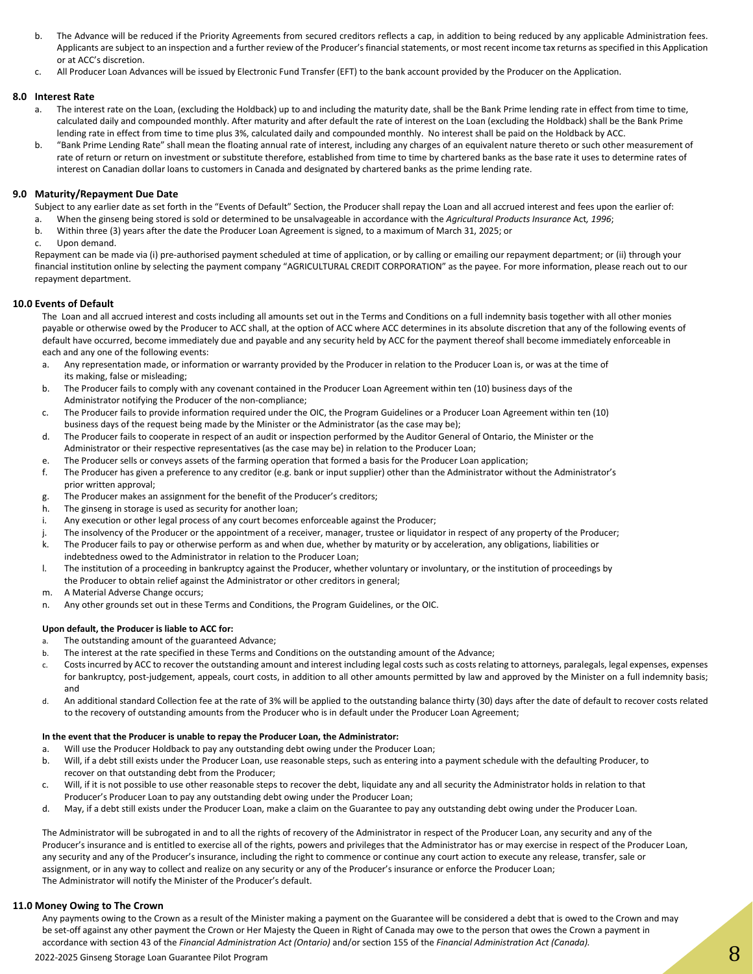- b. The Advance will be reduced if the Priority Agreements from secured creditors reflects a cap, in addition to being reduced by any applicable Administration fees. Applicants are subject to an inspection and a further review of the Producer's financial statements, or most recent income tax returns as specified in this Application or at ACC's discretion.
- c. All Producer Loan Advances will be issued by Electronic Fund Transfer (EFT) to the bank account provided by the Producer on the Application.

#### **8.0 Interest Rate**

- The interest rate on the Loan, (excluding the Holdback) up to and including the maturity date, shall be the Bank Prime lending rate in effect from time to time, calculated daily and compounded monthly. After maturity and after default the rate of interest on the Loan (excluding the Holdback) shall be the Bank Prime lending rate in effect from time to time plus 3%, calculated daily and compounded monthly. No interest shall be paid on the Holdback by ACC.
- b. "Bank Prime Lending Rate" shall mean the floating annual rate of interest, including any charges of an equivalent nature thereto or such other measurement of rate of return or return on investment or substitute therefore, established from time to time by chartered banks as the base rate it uses to determine rates of interest on Canadian dollar loans to customers in Canada and designated by chartered banks as the prime lending rate.

#### **9.0 Maturity/Repayment Due Date**

Subject to any earlier date as set forth in the "Events of Default" Section, the Producer shall repay the Loan and all accrued interest and fees upon the earlier of:

- a. When the ginseng being stored is sold or determined to be unsalvageable in accordance with the *Agricultural Products Insurance* Act*, 1996*;
- b. Within three (3) years after the date the Producer Loan Agreement is signed, to a maximum of March 31, 2025; or
- c. Upon demand.

Repayment can be made via (i) pre-authorised payment scheduled at time of application, or by calling or emailing our repayment department; or (ii) through your financial institution online by selecting the payment company "AGRICULTURAL CREDIT CORPORATION" as the payee. For more information, please reach out to our repayment department.

#### **10.0 Events of Default**

The Loan and all accrued interest and costs including all amounts set out in the Terms and Conditions on a full indemnity basis together with all other monies payable or otherwise owed by the Producer to ACC shall, at the option of ACC where ACC determines in its absolute discretion that any of the following events of default have occurred, become immediately due and payable and any security held by ACC for the payment thereof shall become immediately enforceable in each and any one of the following events:

- a. Any representation made, or information or warranty provided by the Producer in relation to the Producer Loan is, or was at the time of its making, false or misleading;
- b. The Producer fails to comply with any covenant contained in the Producer Loan Agreement within ten (10) business days of the Administrator notifying the Producer of the non-compliance;
- c. The Producer fails to provide information required under the OIC, the Program Guidelines or a Producer Loan Agreement within ten (10) business days of the request being made by the Minister or the Administrator (as the case may be);
- d. The Producer fails to cooperate in respect of an audit or inspection performed by the Auditor General of Ontario, the Minister or the Administrator or their respective representatives (as the case may be) in relation to the Producer Loan;
- e. The Producer sells or conveys assets of the farming operation that formed a basis for the Producer Loan application;
- f. The Producer has given a preference to any creditor (e.g. bank or input supplier) other than the Administrator without the Administrator's prior written approval;
- g. The Producer makes an assignment for the benefit of the Producer's creditors;
- h. The ginseng in storage is used as security for another loan;
- i. Any execution or other legal process of any court becomes enforceable against the Producer;
- The insolvency of the Producer or the appointment of a receiver, manager, trustee or liquidator in respect of any property of the Producer;
- k. The Producer fails to pay or otherwise perform as and when due, whether by maturity or by acceleration, any obligations, liabilities or indebtedness owed to the Administrator in relation to the Producer Loan;
- l. The institution of a proceeding in bankruptcy against the Producer, whether voluntary or involuntary, or the institution of proceedings by the Producer to obtain relief against the Administrator or other creditors in general;
- m. A Material Adverse Change occurs;
- n. Any other grounds set out in these Terms and Conditions, the Program Guidelines, or the OIC.

#### **Upon default, the Producer is liable to ACC for:**

- a. The outstanding amount of the guaranteed Advance;
- b. The interest at the rate specified in these Terms and Conditions on the outstanding amount of the Advance;
- c. Costs incurred by ACC to recover the outstanding amount and interest including legal costs such as costs relating to attorneys, paralegals, legal expenses, expenses for bankruptcy, post-judgement, appeals, court costs, in addition to all other amounts permitted by law and approved by the Minister on a full indemnity basis; and
- d. An additional standard Collection fee at the rate of 3% will be applied to the outstanding balance thirty (30) days after the date of default to recover costs related to the recovery of outstanding amounts from the Producer who is in default under the Producer Loan Agreement;

#### **In the event that the Producer is unable to repay the Producer Loan, the Administrator:**

- a. Will use the Producer Holdback to pay any outstanding debt owing under the Producer Loan;
- b. Will, if a debt still exists under the Producer Loan, use reasonable steps, such as entering into a payment schedule with the defaulting Producer, to recover on that outstanding debt from the Producer;
- c. Will, if it is not possible to use other reasonable steps to recover the debt, liquidate any and all security the Administrator holds in relation to that Producer's Producer Loan to pay any outstanding debt owing under the Producer Loan;
- d. May, if a debt still exists under the Producer Loan, make a claim on the Guarantee to pay any outstanding debt owing under the Producer Loan.

The Administrator will be subrogated in and to all the rights of recovery of the Administrator in respect of the Producer Loan, any security and any of the Producer's insurance and is entitled to exercise all of the rights, powers and privileges that the Administrator has or may exercise in respect of the Producer Loan, any security and any of the Producer's insurance, including the right to commence or continue any court action to execute any release, transfer, sale or assignment, or in any way to collect and realize on any security or any of the Producer's insurance or enforce the Producer Loan; The Administrator will notify the Minister of the Producer's default.

#### **11.0 Money Owing to The Crown**

2022-2025 Ginseng Storage Loan Guarantee Pilot Program 8. 2022-2025 Ginsen Storm Andrea Storage Loan Guarantee Pilot Program 8. 2002-2025 Ginseng Storage Loan Guarantee Pilot Program 8. 2002-2025 Ginseng Storage Loan Guara Any payments owing to the Crown as a result of the Minister making a payment on the Guarantee will be considered a debt that is owed to the Crown and may be set-off against any other payment the Crown or Her Majesty the Queen in Right of Canada may owe to the person that owes the Crown a payment in accordance with section 43 of the *Financial Administration Act (Ontario)* and/or section 155 of the *Financial Administration Act (Canada).*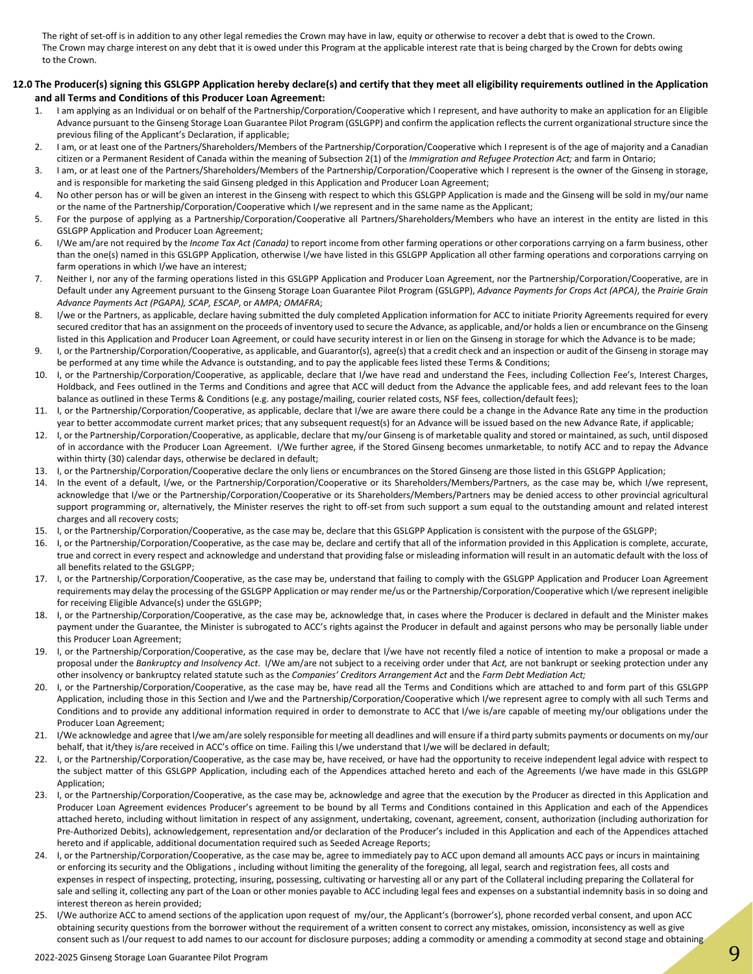The right of set-off is in addition to any other legal remedies the Crown may have in law, equity or otherwise to recover a debt that is owed to the Crown. The Crown may charge interest on any debt that it is owed under this Program at the applicable interest rate that is being charged by the Crown for debts owing to the Crown.

#### **12.0 The Producer(s) signing this GSLGPP Application hereby declare(s) and certify that they meet all eligibility requirements outlined in the Application and all Terms and Conditions of this Producer Loan Agreement:**

- 1. I am applying as an Individual or on behalf of the Partnership/Corporation/Cooperative which I represent, and have authority to make an application for an Eligible Advance pursuant to the Ginseng Storage Loan Guarantee Pilot Program (GSLGPP) and confirm the application reflects the current organizational structure since the previous filing of the Applicant's Declaration, if applicable;
- 2. I am, or at least one of the Partners/Shareholders/Members of the Partnership/Corporation/Cooperative which I represent is of the age of majority and a Canadian citizen or a Permanent Resident of Canada within the meaning of Subsection 2(1) of the *Immigration and Refugee Protection Act;* and farm in Ontario;
- 3. I am, or at least one of the Partners/Shareholders/Members of the Partnership/Corporation/Cooperative which I represent is the owner of the Ginseng in storage, and is responsible for marketing the said Ginseng pledged in this Application and Producer Loan Agreement;
- 4. No other person has or will be given an interest in the Ginseng with respect to which this GSLGPP Application is made and the Ginseng will be sold in my/our name or the name of the Partnership/Corporation/Cooperative which I/we represent and in the same name as the Applicant;
- 5. For the purpose of applying as a Partnership/Corporation/Cooperative all Partners/Shareholders/Members who have an interest in the entity are listed in this GSLGPP Application and Producer Loan Agreement;
- 6. I/We am/are not required by the *Income Tax Act (Canada)* to report income from other farming operations or other corporations carrying on a farm business, other than the one(s) named in this GSLGPP Application, otherwise I/we have listed in this GSLGPP Application all other farming operations and corporations carrying on farm operations in which I/we have an interest;
- 7. Neither I, nor any of the farming operations listed in this GSLGPP Application and Producer Loan Agreement, nor the Partnership/Corporation/Cooperative, are in Default under any Agreement pursuant to the Ginseng Storage Loan Guarantee Pilot Program (GSLGPP), *Advance Payments for Crops Act (APCA)*, the *Prairie Grain Advance Payments Act (PGAPA), SCAP, ESCAP*, or *AMPA; OMAFRA*;
- 8. I/we or the Partners, as applicable, declare having submitted the duly completed Application information for ACC to initiate Priority Agreements required for every secured creditor that has an assignment on the proceeds of inventory used to secure the Advance, as applicable, and/or holds a lien or encumbrance on the Ginseng listed in this Application and Producer Loan Agreement, or could have security interest in or lien on the Ginseng in storage for which the Advance is to be made;
- 9. I, or the Partnership/Corporation/Cooperative, as applicable, and Guarantor(s), agree(s) that a credit check and an inspection or audit of the Ginseng in storage may be performed at any time while the Advance is outstanding, and to pay the applicable fees listed these Terms & Conditions;
- 10. I, or the Partnership/Corporation/Cooperative, as applicable, declare that I/we have read and understand the Fees, including Collection Fee's, Interest Charges, Holdback, and Fees outlined in the Terms and Conditions and agree that ACC will deduct from the Advance the applicable fees, and add relevant fees to the loan balance as outlined in these Terms & Conditions (e.g. any postage/mailing, courier related costs, NSF fees, collection/default fees);
- 11. I, or the Partnership/Corporation/Cooperative, as applicable, declare that I/we are aware there could be a change in the Advance Rate any time in the production year to better accommodate current market prices; that any subsequent request(s) for an Advance will be issued based on the new Advance Rate, if applicable;
- 12. I, or the Partnership/Corporation/Cooperative, as applicable, declare that my/our Ginseng is of marketable quality and stored or maintained, as such, until disposed of in accordance with the Producer Loan Agreement. I/We further agree, if the Stored Ginseng becomes unmarketable, to notify ACC and to repay the Advance within thirty (30) calendar days, otherwise be declared in default;
- 13. I, or the Partnership/Corporation/Cooperative declare the only liens or encumbrances on the Stored Ginseng are those listed in this GSLGPP Application;
- 14. In the event of a default, I/we, or the Partnership/Corporation/Cooperative or its Shareholders/Members/Partners, as the case may be, which I/we represent, acknowledge that I/we or the Partnership/Corporation/Cooperative or its Shareholders/Members/Partners may be denied access to other provincial agricultural support programming or, alternatively, the Minister reserves the right to off-set from such support a sum equal to the outstanding amount and related interest charges and all recovery costs;
- 15. I, or the Partnership/Corporation/Cooperative, as the case may be, declare that this GSLGPP Application is consistent with the purpose of the GSLGPP;
- 16. I, or the Partnership/Corporation/Cooperative, as the case may be, declare and certify that all of the information provided in this Application is complete, accurate, true and correct in every respect and acknowledge and understand that providing false or misleading information will result in an automatic default with the loss of all benefits related to the GSLGPP;
- 17. I, or the Partnership/Corporation/Cooperative, as the case may be, understand that failing to comply with the GSLGPP Application and Producer Loan Agreement requirements may delay the processing of the GSLGPP Application or may render me/us or the Partnership/Corporation/Cooperative which I/we represent ineligible for receiving Eligible Advance(s) under the GSLGPP;
- 18. I, or the Partnership/Corporation/Cooperative, as the case may be, acknowledge that, in cases where the Producer is declared in default and the Minister makes payment under the Guarantee, the Minister is subrogated to ACC's rights against the Producer in default and against persons who may be personally liable under this Producer Loan Agreement;
- 19. I, or the Partnership/Corporation/Cooperative, as the case may be, declare that I/we have not recently filed a notice of intention to make a proposal or made a proposal under the *Bankruptcy and Insolvency Act*. I/We am/are not subject to a receiving order under that *Act,* are not bankrupt or seeking protection under any other insolvency or bankruptcy related statute such as the *Companies' Creditors Arrangement Act* and the *Farm Debt Mediation Act;*
- 20. I, or the Partnership/Corporation/Cooperative, as the case may be, have read all the Terms and Conditions which are attached to and form part of this GSLGPP Application, including those in this Section and I/we and the Partnership/Corporation/Cooperative which I/we represent agree to comply with all such Terms and Conditions and to provide any additional information required in order to demonstrate to ACC that I/we is/are capable of meeting my/our obligations under the Producer Loan Agreement;
- 21. I/We acknowledge and agree that I/we am/are solely responsible for meeting all deadlines and will ensure if a third party submits payments or documents on my/our behalf, that it/they is/are received in ACC's office on time. Failing this I/we understand that I/we will be declared in default;
- 22. I, or the Partnership/Corporation/Cooperative, as the case may be, have received, or have had the opportunity to receive independent legal advice with respect to the subject matter of this GSLGPP Application, including each of the Appendices attached hereto and each of the Agreements I/we have made in this GSLGPP Application;
- 23. I, or the Partnership/Corporation/Cooperative, as the case may be, acknowledge and agree that the execution by the Producer as directed in this Application and Producer Loan Agreement evidences Producer's agreement to be bound by all Terms and Conditions contained in this Application and each of the Appendices attached hereto, including without limitation in respect of any assignment, undertaking, covenant, agreement, consent, authorization (including authorization for Pre-Authorized Debits), acknowledgement, representation and/or declaration of the Producer's included in this Application and each of the Appendices attached hereto and if applicable, additional documentation required such as Seeded Acreage Reports;
- 24. I, or the Partnership/Corporation/Cooperative, as the case may be, agree to immediately pay to ACC upon demand all amounts ACC pays or incurs in maintaining or enforcing its security and the Obligations , including without limiting the generality of the foregoing, all legal, search and registration fees, all costs and expenses in respect of inspecting, protecting, insuring, possessing, cultivating or harvesting all or any part of the Collateral including preparing the Collateral for sale and selling it, collecting any part of the Loan or other monies payable to ACC including legal fees and expenses on a substantial indemnity basis in so doing and interest thereon as herein provided;
- 25. I/We authorize ACC to amend sections of the application upon request of my/our, the Applicant's (borrower's), phone recorded verbal consent, and upon ACC obtaining security questions from the borrower without the requirement of a written consent to correct any mistakes, omission, inconsistency as well as give consent such as I/our request to add names to our account for disclosure purposes; adding a commodity or amending a commodity at second stage and obtaining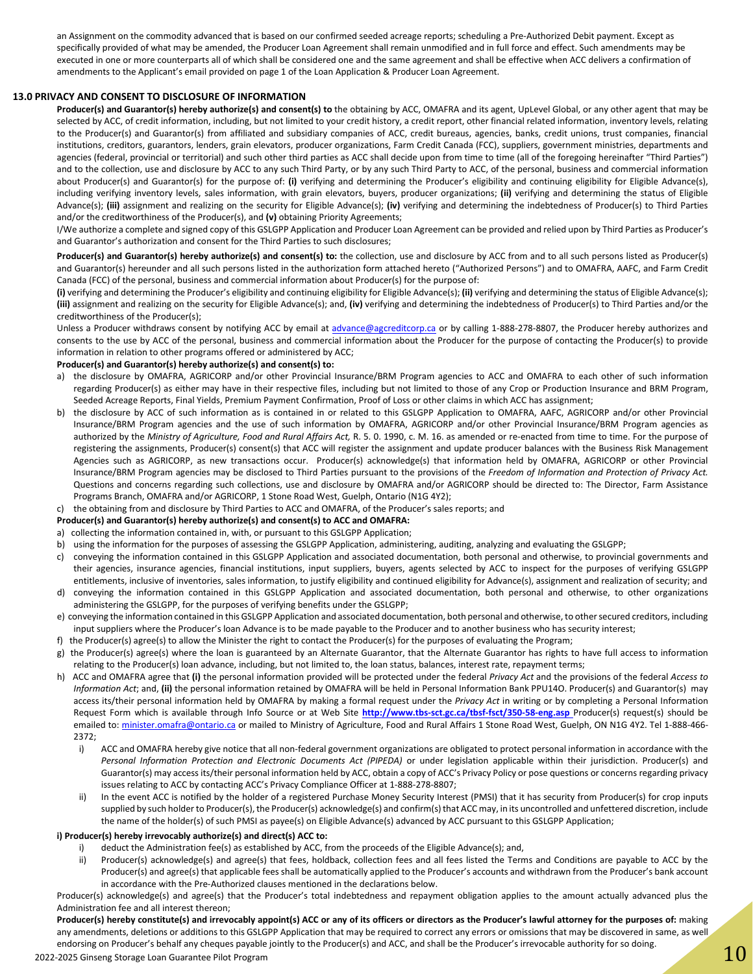an Assignment on the commodity advanced that is based on our confirmed seeded acreage reports; scheduling a Pre-Authorized Debit payment. Except as specifically provided of what may be amended, the Producer Loan Agreement shall remain unmodified and in full force and effect. Such amendments may be executed in one or more counterparts all of which shall be considered one and the same agreement and shall be effective when ACC delivers a confirmation of amendments to the Applicant's email provided on page 1 of the Loan Application & Producer Loan Agreement.

#### **13.0 PRIVACY AND CONSENT TO DISCLOSURE OF INFORMATION**

**Producer(s) and Guarantor(s) hereby authorize(s) and consent(s) to** the obtaining by ACC, OMAFRA and its agent, UpLevel Global, or any other agent that may be selected by ACC, of credit information, including, but not limited to your credit history, a credit report, other financial related information, inventory levels, relating to the Producer(s) and Guarantor(s) from affiliated and subsidiary companies of ACC, credit bureaus, agencies, banks, credit unions, trust companies, financial institutions, creditors, guarantors, lenders, grain elevators, producer organizations, Farm Credit Canada (FCC), suppliers, government ministries, departments and agencies (federal, provincial or territorial) and such other third parties as ACC shall decide upon from time to time (all of the foregoing hereinafter "Third Parties") and to the collection, use and disclosure by ACC to any such Third Party, or by any such Third Party to ACC, of the personal, business and commercial information about Producer(s) and Guarantor(s) for the purpose of: (i) verifying and determining the Producer's eligibility and continuing eligibility for Eligible Advance(s), including verifying inventory levels, sales information, with grain elevators, buyers, producer organizations; **(ii)** verifying and determining the status of Eligible Advance(s); **(iii)** assignment and realizing on the security for Eligible Advance(s); **(iv)** verifying and determining the indebtedness of Producer(s) to Third Parties and/or the creditworthiness of the Producer(s), and **(v)** obtaining Priority Agreements;

I/We authorize a complete and signed copy of this GSLGPP Application and Producer Loan Agreement can be provided and relied upon by Third Parties as Producer's and Guarantor's authorization and consent for the Third Parties to such disclosures;

Producer(s) and Guarantor(s) hereby authorize(s) and consent(s) to: the collection, use and disclosure by ACC from and to all such persons listed as Producer(s) and Guarantor(s) hereunder and all such persons listed in the authorization form attached hereto ("Authorized Persons") and to OMAFRA, AAFC, and Farm Credit Canada (FCC) of the personal, business and commercial information about Producer(s) for the purpose of:

**(i)** verifying and determining the Producer's eligibility and continuing eligibility for Eligible Advance(s); **(ii)** verifying and determining the status of Eligible Advance(s); **(iii)** assignment and realizing on the security for Eligible Advance(s); and, **(iv)** verifying and determining the indebtedness of Producer(s) to Third Parties and/or the creditworthiness of the Producer(s);

Unless a Producer withdraws consent by notifying ACC by email at [advance@agcreditcorp.ca](mailto:advance@agcreditcorp.ca) or by calling 1-888-278-8807, the Producer hereby authorizes and consents to the use by ACC of the personal, business and commercial information about the Producer for the purpose of contacting the Producer(s) to provide information in relation to other programs offered or administered by ACC;

#### **Producer(s) and Guarantor(s) hereby authorize(s) and consent(s) to:**

- a) the disclosure by OMAFRA, AGRICORP and/or other Provincial Insurance/BRM Program agencies to ACC and OMAFRA to each other of such information regarding Producer(s) as either may have in their respective files, including but not limited to those of any Crop or Production Insurance and BRM Program, Seeded Acreage Reports, Final Yields, Premium Payment Confirmation, Proof of Loss or other claims in which ACC has assignment;
- b) the disclosure by ACC of such information as is contained in or related to this GSLGPP Application to OMAFRA, AAFC, AGRICORP and/or other Provincial Insurance/BRM Program agencies and the use of such information by OMAFRA, AGRICORP and/or other Provincial Insurance/BRM Program agencies as authorized by the *Ministry of Agriculture, Food and Rural Affairs Act,* R. 5. 0. 1990, c. M. 16. as amended or re-enacted from time to time. For the purpose of registering the assignments, Producer(s) consent(s) that ACC will register the assignment and update producer balances with the Business Risk Management Agencies such as AGRICORP, as new transactions occur. Producer(s) acknowledge(s) that information held by OMAFRA, AGRICORP or other Provincial Insurance/BRM Program agencies may be disclosed to Third Parties pursuant to the provisions of the *Freedom of Information and Protection of Privacy Act.*  Questions and concerns regarding such collections, use and disclosure by OMAFRA and/or AGRICORP should be directed to: The Director, Farm Assistance Programs Branch, OMAFRA and/or AGRICORP, 1 Stone Road West, Guelph, Ontario (N1G 4Y2);

c) the obtaining from and disclosure by Third Parties to ACC and OMAFRA, of the Producer's sales reports; and

#### **Producer(s) and Guarantor(s) hereby authorize(s) and consent(s) to ACC and OMAFRA:**

- a) collecting the information contained in, with, or pursuant to this GSLGPP Application;
- using the information for the purposes of assessing the GSLGPP Application, administering, auditing, analyzing and evaluating the GSLGPP;
- c) conveying the information contained in this GSLGPP Application and associated documentation, both personal and otherwise, to provincial governments and their agencies, insurance agencies, financial institutions, input suppliers, buyers, agents selected by ACC to inspect for the purposes of verifying GSLGPP entitlements, inclusive of inventories, sales information, to justify eligibility and continued eligibility for Advance(s), assignment and realization of security; and
- d) conveying the information contained in this GSLGPP Application and associated documentation, both personal and otherwise, to other organizations administering the GSLGPP, for the purposes of verifying benefits under the GSLGPP;
- e) conveying the information contained in this GSLGPP Application and associated documentation, both personal and otherwise, to other secured creditors, including input suppliers where the Producer's loan Advance is to be made payable to the Producer and to another business who has security interest;
- f) the Producer(s) agree(s) to allow the Minister the right to contact the Producer(s) for the purposes of evaluating the Program;
- g) the Producer(s) agree(s) where the loan is guaranteed by an Alternate Guarantor, that the Alternate Guarantor has rights to have full access to information relating to the Producer(s) loan advance, including, but not limited to, the loan status, balances, interest rate, repayment terms;
- h) ACC and OMAFRA agree that **(i)** the personal information provided will be protected under the federal *Privacy Act* and the provisions of the federal *Access to Information Act*; and, **(ii)** the personal information retained by OMAFRA will be held in Personal Information Bank PPU14O. Producer(s) and Guarantor(s) may access its/their personal information held by OMAFRA by making a formal request under the *Privacy Act* in writing or by completing a Personal Information Request Form which is available through Info Source or at Web Site **[http:](http://www.tbs-sct.gc.ca/tbsf-fsct/350-58-eng.asp)//www.tbs-sct.gc.ca/tbsf-fsct/350-58-eng.asp** Producer(s) request(s) should be emailed to: [minister.omafra@ontario.ca](mailto:minister.omafra@ontario.ca) or mailed to Ministry of Agriculture, Food and Rural Affairs 1 Stone Road West, Guelph, ON N1G 4Y2. Tel 1-888-466-2372;
	- i) ACC and OMAFRA hereby give notice that all non-federal government organizations are obligated to protect personal information in accordance with the *Personal Information Protection and Electronic Documents Act (PIPEDA)* or under legislation applicable within their jurisdiction. Producer(s) and Guarantor(s) may access its/their personal information held by ACC, obtain a copy of ACC's Privacy Policy or pose questions or concerns regarding privacy issues relating to ACC by contacting ACC's Privacy Compliance Officer at 1-888-278-8807;
	- ii) In the event ACC is notified by the holder of a registered Purchase Money Security Interest (PMSI) that it has security from Producer(s) for crop inputs supplied by such holder to Producer(s), the Producer(s) acknowledge(s) and confirm(s) that ACC may, in its uncontrolled and unfettered discretion, include the name of the holder(s) of such PMSI as payee(s) on Eligible Advance(s) advanced by ACC pursuant to this GSLGPP Application;

#### **i) Producer(s) hereby irrevocably authorize(s) and direct(s) ACC to:**

- deduct the Administration fee(s) as established by ACC, from the proceeds of the Eligible Advance(s); and,
- ii) Producer(s) acknowledge(s) and agree(s) that fees, holdback, collection fees and all fees listed the Terms and Conditions are payable to ACC by the Producer(s) and agree(s) that applicable fees shall be automatically applied to the Producer's accounts and withdrawn from the Producer's bank account in accordance with the Pre-Authorized clauses mentioned in the declarations below.

Producer(s) acknowledge(s) and agree(s) that the Producer's total indebtedness and repayment obligation applies to the amount actually advanced plus the Administration fee and all interest thereon;

2022-2025 Ginseng Storage Loan Guarantee Pilot Program 2007-2022-2025 Ginseng Storage Loan Guarantee Pilot Program 100 Producer(s) hereby constitute(s) and irrevocably appoint(s) ACC or any of its officers or directors as the Producer's lawful attorney for the purposes of: making any amendments, deletions or additions to this GSLGPP Application that may be required to correct any errors or omissions that may be discovered in same, as well endorsing on Producer's behalf any cheques payable jointly to the Producer(s) and ACC, and shall be the Producer's irrevocable authority for so doing.